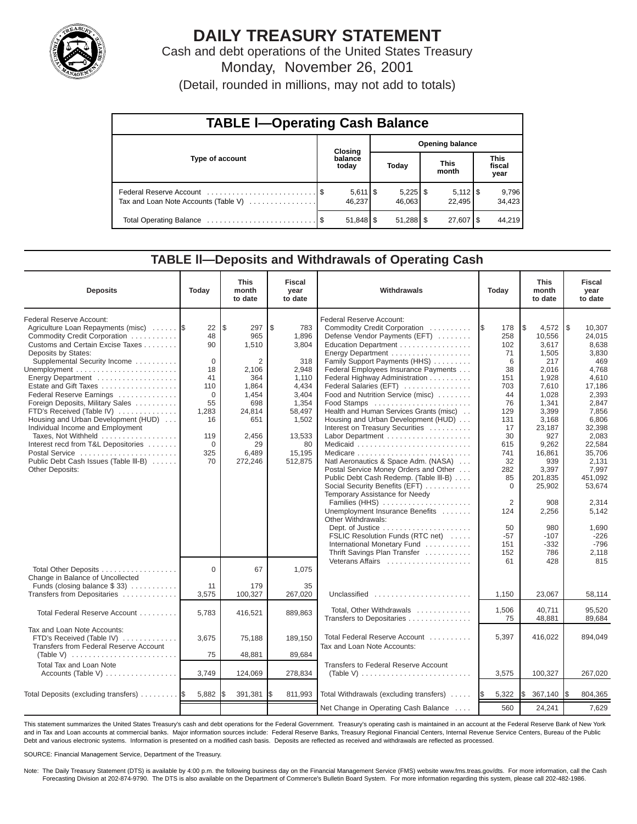

# **DAILY TREASURY STATEMENT**

Cash and debt operations of the United States Treasury Monday, November 26, 2001

(Detail, rounded in millions, may not add to totals)

| <b>TABLE I-Operating Cash Balance</b> |  |                                 |                        |                      |  |                              |  |                               |
|---------------------------------------|--|---------------------------------|------------------------|----------------------|--|------------------------------|--|-------------------------------|
| Type of account                       |  | <b>Closing</b>                  | <b>Opening balance</b> |                      |  |                              |  |                               |
|                                       |  | balance<br>today                |                        | Today                |  | <b>This</b><br>month         |  | <b>This</b><br>fiscal<br>year |
| Tax and Loan Note Accounts (Table V)  |  | $5,611$ $\frac{1}{3}$<br>46.237 |                        | $5,225$ \$<br>46,063 |  | $5,112$ $\sqrt{5}$<br>22.495 |  | 9,796<br>34,423               |
|                                       |  |                                 |                        |                      |  | 27,607   \$                  |  | 44,219                        |

### **TABLE ll—Deposits and Withdrawals of Operating Cash**

| <b>Deposits</b>                                                                                                                                                                                                                                                                                                                                                                                                                                                                                                                                             | Today                                                                                                                | <b>This</b><br>month<br>to date                                                                                              | <b>Fiscal</b><br>year<br>to date                                                                                                        | Withdrawals                                                                                                                                                                                                                                                                                                                                                                                                                                                                                                                                                                                                                                                                                                                                                                                                                                                               | Today                                                                                                                                                                                         | <b>This</b><br>month<br>to date                                                                                                                                                                                                                  | <b>Fiscal</b><br>year<br>to date                                                                                                                                                                                                                              |
|-------------------------------------------------------------------------------------------------------------------------------------------------------------------------------------------------------------------------------------------------------------------------------------------------------------------------------------------------------------------------------------------------------------------------------------------------------------------------------------------------------------------------------------------------------------|----------------------------------------------------------------------------------------------------------------------|------------------------------------------------------------------------------------------------------------------------------|-----------------------------------------------------------------------------------------------------------------------------------------|---------------------------------------------------------------------------------------------------------------------------------------------------------------------------------------------------------------------------------------------------------------------------------------------------------------------------------------------------------------------------------------------------------------------------------------------------------------------------------------------------------------------------------------------------------------------------------------------------------------------------------------------------------------------------------------------------------------------------------------------------------------------------------------------------------------------------------------------------------------------------|-----------------------------------------------------------------------------------------------------------------------------------------------------------------------------------------------|--------------------------------------------------------------------------------------------------------------------------------------------------------------------------------------------------------------------------------------------------|---------------------------------------------------------------------------------------------------------------------------------------------------------------------------------------------------------------------------------------------------------------|
| Federal Reserve Account:<br>Agriculture Loan Repayments (misc)<br>Commodity Credit Corporation<br>Customs and Certain Excise Taxes<br>Deposits by States:<br>Supplemental Security Income<br>Energy Department<br>Estate and Gift Taxes<br>Federal Reserve Earnings<br>Foreign Deposits, Military Sales<br>FTD's Received (Table IV)<br>Housing and Urban Development (HUD)<br>Individual Income and Employment<br>Taxes, Not Withheld<br>Interest recd from T&L Depositories<br>Postal Service<br>Public Debt Cash Issues (Table III-B)<br>Other Deposits: | 22<br>48<br>90<br>$\mathbf 0$<br>18<br>41<br>110<br>$\Omega$<br>55<br>1,283<br>16<br>119<br>$\mathbf 0$<br>325<br>70 | l\$<br>297<br>965<br>1,510<br>2<br>2,106<br>364<br>1,864<br>1,454<br>698<br>24,814<br>651<br>2,456<br>29<br>6,489<br>272,246 | \$<br>783<br>1.896<br>3,804<br>318<br>2,948<br>1,110<br>4,434<br>3,404<br>1,354<br>58,497<br>1,502<br>13,533<br>80<br>15,195<br>512,875 | Federal Reserve Account:<br>Commodity Credit Corporation<br>Defense Vendor Payments (EFT)<br>Education Department<br>Energy Department<br>Family Support Payments (HHS)<br>Federal Employees Insurance Payments<br>Federal Highway Administration<br>Federal Salaries (EFT)<br>Food and Nutrition Service (misc)<br>Food Stamps<br>Health and Human Services Grants (misc)<br>Housing and Urban Development (HUD)<br>Interest on Treasury Securities<br>Labor Department<br>Natl Aeronautics & Space Adm. (NASA)<br>Postal Service Money Orders and Other<br>Public Debt Cash Redemp. (Table III-B)<br>Social Security Benefits (EFT)<br>Temporary Assistance for Needy<br>Families (HHS)<br>Unemployment Insurance Benefits<br>Other Withdrawals:<br>FSLIC Resolution Funds (RTC net)<br>International Monetary Fund<br>Thrift Savings Plan Transfer<br>Veterans Affairs | - IS<br>178<br>258<br>102<br>71<br>6<br>38<br>151<br>703<br>44<br>76<br>129<br>131<br>17<br>30<br>615<br>741<br>32<br>282<br>85<br>$\mathbf 0$<br>2<br>124<br>50<br>$-57$<br>151<br>152<br>61 | l\$<br>4,572<br>10,556<br>3,617<br>1,505<br>217<br>2,016<br>1,928<br>7,610<br>1,028<br>1,341<br>3,399<br>3,168<br>23,187<br>927<br>9,262<br>16,861<br>939<br>3,397<br>201,835<br>25,902<br>908<br>2,256<br>980<br>$-107$<br>$-332$<br>786<br>428 | 1\$<br>10,307<br>24,015<br>8,638<br>3,830<br>469<br>4,768<br>4,610<br>17,186<br>2,393<br>2,847<br>7,856<br>6,806<br>32,398<br>2,083<br>22,584<br>35,706<br>2,131<br>7,997<br>451,092<br>53.674<br>2.314<br>5,142<br>1,690<br>$-226$<br>$-796$<br>2,118<br>815 |
| Total Other Deposits<br>Change in Balance of Uncollected<br>Funds (closing balance $$33$ )                                                                                                                                                                                                                                                                                                                                                                                                                                                                  | $\Omega$<br>11                                                                                                       | 67<br>179                                                                                                                    | 1.075<br>35                                                                                                                             |                                                                                                                                                                                                                                                                                                                                                                                                                                                                                                                                                                                                                                                                                                                                                                                                                                                                           |                                                                                                                                                                                               |                                                                                                                                                                                                                                                  |                                                                                                                                                                                                                                                               |
| Transfers from Depositaries                                                                                                                                                                                                                                                                                                                                                                                                                                                                                                                                 | 3,575                                                                                                                | 100,327                                                                                                                      | 267,020                                                                                                                                 | Unclassified<br>Total, Other Withdrawals                                                                                                                                                                                                                                                                                                                                                                                                                                                                                                                                                                                                                                                                                                                                                                                                                                  | 1,150<br>1,506                                                                                                                                                                                | 23,067<br>40.711                                                                                                                                                                                                                                 | 58,114<br>95.520                                                                                                                                                                                                                                              |
| Total Federal Reserve Account                                                                                                                                                                                                                                                                                                                                                                                                                                                                                                                               | 5,783                                                                                                                | 416,521                                                                                                                      | 889,863                                                                                                                                 | Transfers to Depositaries                                                                                                                                                                                                                                                                                                                                                                                                                                                                                                                                                                                                                                                                                                                                                                                                                                                 | 75                                                                                                                                                                                            | 48,881                                                                                                                                                                                                                                           | 89,684                                                                                                                                                                                                                                                        |
| Tax and Loan Note Accounts:<br>FTD's Received (Table IV)<br>Transfers from Federal Reserve Account<br>(Table V) $\ldots \ldots \ldots \ldots \ldots \ldots \ldots \ldots$                                                                                                                                                                                                                                                                                                                                                                                   | 3,675<br>75                                                                                                          | 75,188<br>48,881                                                                                                             | 189,150<br>89,684                                                                                                                       | Total Federal Reserve Account<br>Tax and Loan Note Accounts:                                                                                                                                                                                                                                                                                                                                                                                                                                                                                                                                                                                                                                                                                                                                                                                                              | 5,397                                                                                                                                                                                         | 416,022                                                                                                                                                                                                                                          | 894,049                                                                                                                                                                                                                                                       |
| <b>Total Tax and Loan Note</b><br>Accounts (Table V)                                                                                                                                                                                                                                                                                                                                                                                                                                                                                                        | 3,749                                                                                                                | 124,069                                                                                                                      | 278,834                                                                                                                                 | Transfers to Federal Reserve Account                                                                                                                                                                                                                                                                                                                                                                                                                                                                                                                                                                                                                                                                                                                                                                                                                                      | 3,575                                                                                                                                                                                         | 100,327                                                                                                                                                                                                                                          | 267,020                                                                                                                                                                                                                                                       |
| Total Deposits (excluding transfers)                                                                                                                                                                                                                                                                                                                                                                                                                                                                                                                        | 5,882                                                                                                                | 391,381                                                                                                                      | 811,993                                                                                                                                 | Total Withdrawals (excluding transfers)                                                                                                                                                                                                                                                                                                                                                                                                                                                                                                                                                                                                                                                                                                                                                                                                                                   | 5,322<br><b>IS</b>                                                                                                                                                                            | 367,140<br>l\$                                                                                                                                                                                                                                   | 804,365<br>I\$                                                                                                                                                                                                                                                |
|                                                                                                                                                                                                                                                                                                                                                                                                                                                                                                                                                             |                                                                                                                      |                                                                                                                              |                                                                                                                                         | Net Change in Operating Cash Balance                                                                                                                                                                                                                                                                                                                                                                                                                                                                                                                                                                                                                                                                                                                                                                                                                                      | 560                                                                                                                                                                                           | 24,241                                                                                                                                                                                                                                           | 7,629                                                                                                                                                                                                                                                         |

This statement summarizes the United States Treasury's cash and debt operations for the Federal Government. Treasury's operating cash is maintained in an account at the Federal Reserve Bank of New York and in Tax and Loan accounts at commercial banks. Major information sources include: Federal Reserve Banks, Treasury Regional Financial Centers, Internal Revenue Service Centers, Bureau of the Public Debt and various electronic systems. Information is presented on a modified cash basis. Deposits are reflected as received and withdrawals are reflected as processed.

SOURCE: Financial Management Service, Department of the Treasury.

Note: The Daily Treasury Statement (DTS) is available by 4:00 p.m. the following business day on the Financial Management Service (FMS) website www.fms.treas.gov/dts. For more information, call the Cash Forecasting Division at 202-874-9790. The DTS is also available on the Department of Commerce's Bulletin Board System. For more information regarding this system, please call 202-482-1986.